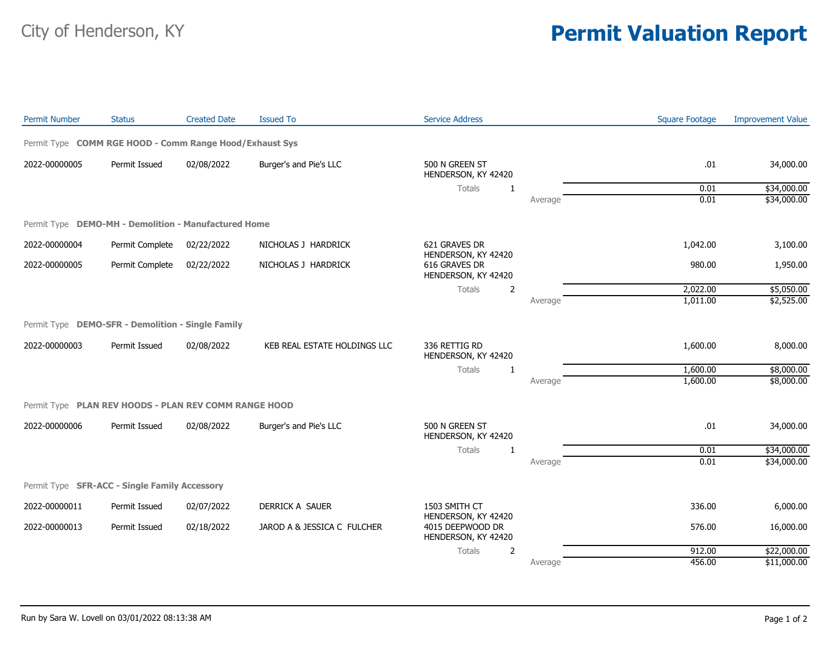## City of Henderson, KY **Permit Valuation Report**

| Permit Type COMM RGE HOOD - Comm Range Hood/Exhaust Sys<br>2022-00000005<br>Permit Issued<br>02/08/2022<br>Burger's and Pie's LLC<br>500 N GREEN ST<br>.01<br>34,000.00<br>HENDERSON, KY 42420<br>0.01<br>\$34,000.00<br>Totals<br>1<br>0.01<br>Average<br>Permit Type DEMO-MH - Demolition - Manufactured Home<br>2022-00000004<br>Permit Complete<br>02/22/2022<br>NICHOLAS J HARDRICK<br>621 GRAVES DR<br>1,042.00<br>3,100.00<br>HENDERSON, KY 42420<br>616 GRAVES DR<br>2022-00000005<br>02/22/2022<br>NICHOLAS J HARDRICK<br>980.00<br>Permit Complete<br>1,950.00<br>HENDERSON, KY 42420<br>2,022.00<br>Totals<br>2<br>\$5,050.00<br>1,011.00<br>Average<br>Permit Type DEMO-SFR - Demolition - Single Family<br>2022-00000003<br>Permit Issued<br>02/08/2022<br>KEB REAL ESTATE HOLDINGS LLC<br>336 RETTIG RD<br>1,600.00<br>HENDERSON, KY 42420<br>1,600.00<br>Totals<br>$\mathbf{1}$<br>1,600.00<br>Average<br>Permit Type PLAN REV HOODS - PLAN REV COMM RANGE HOOD<br>2022-00000006<br>Permit Issued<br>02/08/2022<br>500 N GREEN ST<br>.01<br>Burger's and Pie's LLC<br>34,000.00<br>HENDERSON, KY 42420<br>Totals<br>0.01<br>1<br>0.01<br>Average<br>Permit Type SFR-ACC - Single Family Accessory<br>2022-00000011<br>Permit Issued<br>02/07/2022<br>DERRICK A SAUER<br>1503 SMITH CT<br>336.00<br>6,000.00<br>HENDERSON, KY 42420<br>2022-00000013<br>Permit Issued<br>JAROD A & JESSICA C FULCHER<br>4015 DEEPWOOD DR<br>576.00<br>16,000.00<br>02/18/2022<br>HENDERSON, KY 42420<br>\$22,000.00<br>$\overline{2}$<br>912.00<br>Totals<br>Average | <b>Permit Number</b> | <b>Status</b> | <b>Created Date</b> | <b>Issued To</b> | <b>Service Address</b> | <b>Square Footage</b> | <b>Improvement Value</b> |
|--------------------------------------------------------------------------------------------------------------------------------------------------------------------------------------------------------------------------------------------------------------------------------------------------------------------------------------------------------------------------------------------------------------------------------------------------------------------------------------------------------------------------------------------------------------------------------------------------------------------------------------------------------------------------------------------------------------------------------------------------------------------------------------------------------------------------------------------------------------------------------------------------------------------------------------------------------------------------------------------------------------------------------------------------------------------------------------------------------------------------------------------------------------------------------------------------------------------------------------------------------------------------------------------------------------------------------------------------------------------------------------------------------------------------------------------------------------------------------------------------------------------------------------------------------------------|----------------------|---------------|---------------------|------------------|------------------------|-----------------------|--------------------------|
|                                                                                                                                                                                                                                                                                                                                                                                                                                                                                                                                                                                                                                                                                                                                                                                                                                                                                                                                                                                                                                                                                                                                                                                                                                                                                                                                                                                                                                                                                                                                                                    |                      |               |                     |                  |                        |                       |                          |
|                                                                                                                                                                                                                                                                                                                                                                                                                                                                                                                                                                                                                                                                                                                                                                                                                                                                                                                                                                                                                                                                                                                                                                                                                                                                                                                                                                                                                                                                                                                                                                    |                      |               |                     |                  |                        |                       |                          |
|                                                                                                                                                                                                                                                                                                                                                                                                                                                                                                                                                                                                                                                                                                                                                                                                                                                                                                                                                                                                                                                                                                                                                                                                                                                                                                                                                                                                                                                                                                                                                                    |                      |               |                     |                  |                        |                       |                          |
|                                                                                                                                                                                                                                                                                                                                                                                                                                                                                                                                                                                                                                                                                                                                                                                                                                                                                                                                                                                                                                                                                                                                                                                                                                                                                                                                                                                                                                                                                                                                                                    |                      |               |                     |                  |                        |                       | \$34,000.00              |
|                                                                                                                                                                                                                                                                                                                                                                                                                                                                                                                                                                                                                                                                                                                                                                                                                                                                                                                                                                                                                                                                                                                                                                                                                                                                                                                                                                                                                                                                                                                                                                    |                      |               |                     |                  |                        |                       |                          |
|                                                                                                                                                                                                                                                                                                                                                                                                                                                                                                                                                                                                                                                                                                                                                                                                                                                                                                                                                                                                                                                                                                                                                                                                                                                                                                                                                                                                                                                                                                                                                                    |                      |               |                     |                  |                        |                       |                          |
|                                                                                                                                                                                                                                                                                                                                                                                                                                                                                                                                                                                                                                                                                                                                                                                                                                                                                                                                                                                                                                                                                                                                                                                                                                                                                                                                                                                                                                                                                                                                                                    |                      |               |                     |                  |                        |                       |                          |
|                                                                                                                                                                                                                                                                                                                                                                                                                                                                                                                                                                                                                                                                                                                                                                                                                                                                                                                                                                                                                                                                                                                                                                                                                                                                                                                                                                                                                                                                                                                                                                    |                      |               |                     |                  |                        |                       |                          |
|                                                                                                                                                                                                                                                                                                                                                                                                                                                                                                                                                                                                                                                                                                                                                                                                                                                                                                                                                                                                                                                                                                                                                                                                                                                                                                                                                                                                                                                                                                                                                                    |                      |               |                     |                  |                        |                       | \$2,525.00               |
|                                                                                                                                                                                                                                                                                                                                                                                                                                                                                                                                                                                                                                                                                                                                                                                                                                                                                                                                                                                                                                                                                                                                                                                                                                                                                                                                                                                                                                                                                                                                                                    |                      |               |                     |                  |                        |                       |                          |
|                                                                                                                                                                                                                                                                                                                                                                                                                                                                                                                                                                                                                                                                                                                                                                                                                                                                                                                                                                                                                                                                                                                                                                                                                                                                                                                                                                                                                                                                                                                                                                    |                      |               |                     |                  |                        |                       | 8,000.00                 |
|                                                                                                                                                                                                                                                                                                                                                                                                                                                                                                                                                                                                                                                                                                                                                                                                                                                                                                                                                                                                                                                                                                                                                                                                                                                                                                                                                                                                                                                                                                                                                                    |                      |               |                     |                  |                        |                       | \$8,000.00               |
|                                                                                                                                                                                                                                                                                                                                                                                                                                                                                                                                                                                                                                                                                                                                                                                                                                                                                                                                                                                                                                                                                                                                                                                                                                                                                                                                                                                                                                                                                                                                                                    |                      |               |                     |                  |                        |                       | \$8,000.00               |
|                                                                                                                                                                                                                                                                                                                                                                                                                                                                                                                                                                                                                                                                                                                                                                                                                                                                                                                                                                                                                                                                                                                                                                                                                                                                                                                                                                                                                                                                                                                                                                    |                      |               |                     |                  |                        |                       |                          |
|                                                                                                                                                                                                                                                                                                                                                                                                                                                                                                                                                                                                                                                                                                                                                                                                                                                                                                                                                                                                                                                                                                                                                                                                                                                                                                                                                                                                                                                                                                                                                                    |                      |               |                     |                  |                        |                       |                          |
|                                                                                                                                                                                                                                                                                                                                                                                                                                                                                                                                                                                                                                                                                                                                                                                                                                                                                                                                                                                                                                                                                                                                                                                                                                                                                                                                                                                                                                                                                                                                                                    |                      |               |                     |                  |                        |                       | \$34,000.00              |
|                                                                                                                                                                                                                                                                                                                                                                                                                                                                                                                                                                                                                                                                                                                                                                                                                                                                                                                                                                                                                                                                                                                                                                                                                                                                                                                                                                                                                                                                                                                                                                    |                      |               |                     |                  |                        |                       | \$34,000.00              |
|                                                                                                                                                                                                                                                                                                                                                                                                                                                                                                                                                                                                                                                                                                                                                                                                                                                                                                                                                                                                                                                                                                                                                                                                                                                                                                                                                                                                                                                                                                                                                                    |                      |               |                     |                  |                        |                       |                          |
|                                                                                                                                                                                                                                                                                                                                                                                                                                                                                                                                                                                                                                                                                                                                                                                                                                                                                                                                                                                                                                                                                                                                                                                                                                                                                                                                                                                                                                                                                                                                                                    |                      |               |                     |                  |                        |                       |                          |
|                                                                                                                                                                                                                                                                                                                                                                                                                                                                                                                                                                                                                                                                                                                                                                                                                                                                                                                                                                                                                                                                                                                                                                                                                                                                                                                                                                                                                                                                                                                                                                    |                      |               |                     |                  |                        |                       |                          |
|                                                                                                                                                                                                                                                                                                                                                                                                                                                                                                                                                                                                                                                                                                                                                                                                                                                                                                                                                                                                                                                                                                                                                                                                                                                                                                                                                                                                                                                                                                                                                                    |                      |               |                     |                  |                        |                       |                          |
|                                                                                                                                                                                                                                                                                                                                                                                                                                                                                                                                                                                                                                                                                                                                                                                                                                                                                                                                                                                                                                                                                                                                                                                                                                                                                                                                                                                                                                                                                                                                                                    |                      |               |                     |                  |                        | 456.00                | \$11,000.00              |